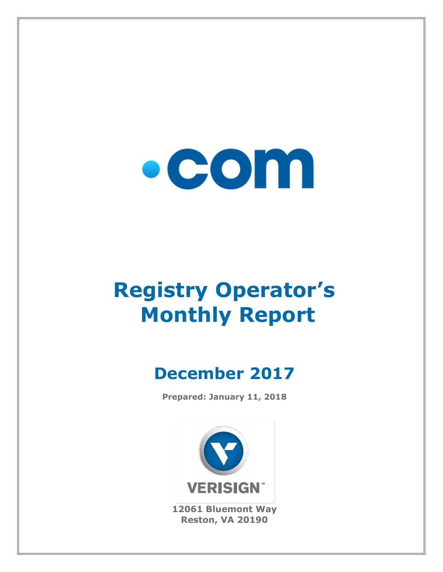

# **Registry Operator's Monthly Report**

# **December 2017**

**Prepared: January 11, 2018**



**12061 Bluemont Way Reston, VA 20190**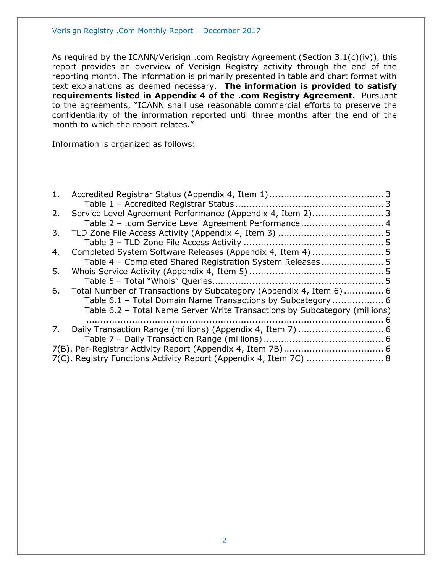As required by the ICANN/Verisign .com Registry Agreement (Section 3.1(c)(iv)), this report provides an overview of Verisign Registry activity through the end of the reporting month. The information is primarily presented in table and chart format with text explanations as deemed necessary. **The information is provided to satisfy requirements listed in Appendix 4 of the .com Registry Agreement.** Pursuant to the agreements, "ICANN shall use reasonable commercial efforts to preserve the confidentiality of the information reported until three months after the end of the month to which the report relates."

Information is organized as follows:

| 1. |                                                                            |  |
|----|----------------------------------------------------------------------------|--|
|    |                                                                            |  |
| 2. | Service Level Agreement Performance (Appendix 4, Item 2) 3                 |  |
|    | Table 2 - .com Service Level Agreement Performance 4                       |  |
| 3. |                                                                            |  |
|    |                                                                            |  |
| 4. |                                                                            |  |
|    | Table 4 - Completed Shared Registration System Releases 5                  |  |
| 5. |                                                                            |  |
|    |                                                                            |  |
| 6. | Total Number of Transactions by Subcategory (Appendix 4, Item 6)  6        |  |
|    | Table 6.1 - Total Domain Name Transactions by Subcategory  6               |  |
|    | Table 6.2 - Total Name Server Write Transactions by Subcategory (millions) |  |
|    |                                                                            |  |
| 7. |                                                                            |  |
|    |                                                                            |  |
|    |                                                                            |  |
|    | 7(C). Registry Functions Activity Report (Appendix 4, Item 7C)  8          |  |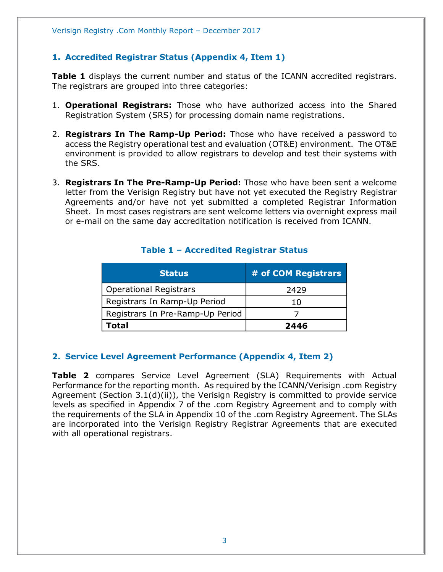#### <span id="page-2-0"></span>**1. Accredited Registrar Status (Appendix 4, Item 1)**

**Table 1** displays the current number and status of the ICANN accredited registrars. The registrars are grouped into three categories:

- 1. **Operational Registrars:** Those who have authorized access into the Shared Registration System (SRS) for processing domain name registrations.
- 2. **Registrars In The Ramp-Up Period:** Those who have received a password to access the Registry operational test and evaluation (OT&E) environment. The OT&E environment is provided to allow registrars to develop and test their systems with the SRS.
- 3. **Registrars In The Pre-Ramp-Up Period:** Those who have been sent a welcome letter from the Verisign Registry but have not yet executed the Registry Registrar Agreements and/or have not yet submitted a completed Registrar Information Sheet. In most cases registrars are sent welcome letters via overnight express mail or e-mail on the same day accreditation notification is received from ICANN.

<span id="page-2-1"></span>

| <b>Status</b>                    | # of COM Registrars |
|----------------------------------|---------------------|
| <b>Operational Registrars</b>    | 2429                |
| Registrars In Ramp-Up Period     | 10                  |
| Registrars In Pre-Ramp-Up Period |                     |
| Total                            | 2446                |

#### **Table 1 – Accredited Registrar Status**

#### <span id="page-2-2"></span>**2. Service Level Agreement Performance (Appendix 4, Item 2)**

**Table 2** compares Service Level Agreement (SLA) Requirements with Actual Performance for the reporting month. As required by the ICANN/Verisign .com Registry Agreement (Section 3.1(d)(ii)), the Verisign Registry is committed to provide service levels as specified in Appendix 7 of the .com Registry Agreement and to comply with the requirements of the SLA in Appendix 10 of the .com Registry Agreement. The SLAs are incorporated into the Verisign Registry Registrar Agreements that are executed with all operational registrars.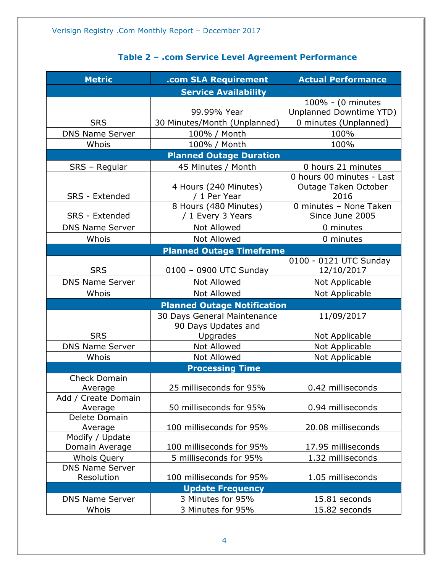<span id="page-3-0"></span>

| <b>Metric</b>                  | .com SLA Requirement                       | <b>Actual Performance</b>                                 |  |  |  |
|--------------------------------|--------------------------------------------|-----------------------------------------------------------|--|--|--|
| <b>Service Availability</b>    |                                            |                                                           |  |  |  |
|                                | 99.99% Year                                | 100% - (0 minutes<br>Unplanned Downtime YTD)              |  |  |  |
| <b>SRS</b>                     | 30 Minutes/Month (Unplanned)               | 0 minutes (Unplanned)                                     |  |  |  |
| <b>DNS Name Server</b>         | 100% / Month                               | 100%                                                      |  |  |  |
| Whois                          | 100% / Month                               | 100%                                                      |  |  |  |
|                                | <b>Planned Outage Duration</b>             |                                                           |  |  |  |
| SRS - Regular                  | 45 Minutes / Month                         | 0 hours 21 minutes                                        |  |  |  |
| SRS - Extended                 | 4 Hours (240 Minutes)<br>/ 1 Per Year      | 0 hours 00 minutes - Last<br>Outage Taken October<br>2016 |  |  |  |
| SRS - Extended                 | 8 Hours (480 Minutes)<br>/ 1 Every 3 Years | 0 minutes - None Taken<br>Since June 2005                 |  |  |  |
| <b>DNS Name Server</b>         | <b>Not Allowed</b>                         | 0 minutes                                                 |  |  |  |
| Whois                          | <b>Not Allowed</b>                         | 0 minutes                                                 |  |  |  |
|                                | <b>Planned Outage Timeframe</b>            |                                                           |  |  |  |
| <b>SRS</b>                     | 0100 - 0900 UTC Sunday                     | 0100 - 0121 UTC Sunday<br>12/10/2017                      |  |  |  |
| <b>DNS Name Server</b>         | Not Allowed                                | Not Applicable                                            |  |  |  |
| Whois                          | <b>Not Allowed</b>                         | Not Applicable                                            |  |  |  |
|                                | <b>Planned Outage Notification</b>         |                                                           |  |  |  |
|                                | 30 Days General Maintenance                | 11/09/2017                                                |  |  |  |
| <b>SRS</b>                     | 90 Days Updates and<br>Upgrades            | Not Applicable                                            |  |  |  |
| <b>DNS Name Server</b>         | <b>Not Allowed</b>                         | Not Applicable                                            |  |  |  |
| Whois                          | <b>Not Allowed</b>                         | Not Applicable                                            |  |  |  |
|                                | <b>Processing Time</b>                     |                                                           |  |  |  |
| <b>Check Domain</b><br>Average | 25 milliseconds for 95%                    | 0.42 milliseconds                                         |  |  |  |
| Add / Create Domain<br>Average | 50 milliseconds for 95%                    | 0.94 milliseconds                                         |  |  |  |
| Delete Domain<br>Average       | 100 milliseconds for 95%                   | 20.08 milliseconds                                        |  |  |  |
| Modify / Update                |                                            |                                                           |  |  |  |
| Domain Average                 | 100 milliseconds for 95%                   | 17.95 milliseconds                                        |  |  |  |
| Whois Query                    | 5 milliseconds for 95%                     | 1.32 milliseconds                                         |  |  |  |
| <b>DNS Name Server</b>         |                                            |                                                           |  |  |  |
| Resolution                     | 100 milliseconds for 95%                   | 1.05 milliseconds                                         |  |  |  |
|                                | <b>Update Frequency</b>                    |                                                           |  |  |  |
| <b>DNS Name Server</b>         | 3 Minutes for 95%                          | 15.81 seconds                                             |  |  |  |
| Whois                          | 3 Minutes for 95%                          | 15.82 seconds                                             |  |  |  |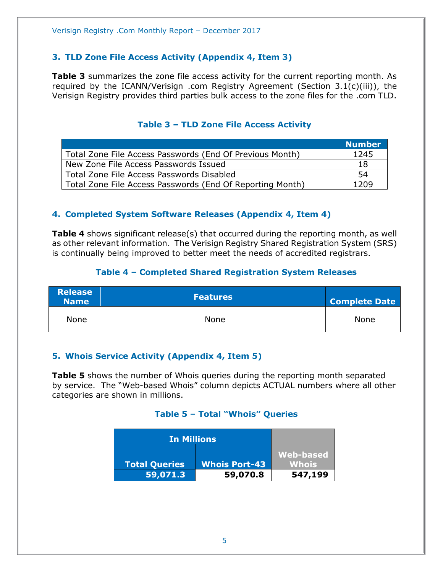#### <span id="page-4-0"></span>**3. TLD Zone File Access Activity (Appendix 4, Item 3)**

**Table 3** summarizes the zone file access activity for the current reporting month. As required by the ICANN/Verisign .com Registry Agreement (Section 3.1(c)(iii)), the Verisign Registry provides third parties bulk access to the zone files for the .com TLD.

<span id="page-4-1"></span>

|                                                           | <b>Number</b> |
|-----------------------------------------------------------|---------------|
| Total Zone File Access Passwords (End Of Previous Month)  | 1245          |
| New Zone File Access Passwords Issued                     | 18            |
| Total Zone File Access Passwords Disabled                 | 54            |
| Total Zone File Access Passwords (End Of Reporting Month) | 1209          |

#### **Table 3 – TLD Zone File Access Activity**

#### <span id="page-4-2"></span>**4. Completed System Software Releases (Appendix 4, Item 4)**

**Table 4** shows significant release(s) that occurred during the reporting month, as well as other relevant information. The Verisign Registry Shared Registration System (SRS) is continually being improved to better meet the needs of accredited registrars.

#### **Table 4 – Completed Shared Registration System Releases**

<span id="page-4-3"></span>

| <b>Release</b><br><b>Name</b> | <b>Features</b> | <b>Complete Date</b> |
|-------------------------------|-----------------|----------------------|
| None                          | None            | <b>None</b>          |

#### <span id="page-4-4"></span>**5. Whois Service Activity (Appendix 4, Item 5)**

<span id="page-4-5"></span>**Table 5** shows the number of Whois queries during the reporting month separated by service. The "Web-based Whois" column depicts ACTUAL numbers where all other categories are shown in millions.

#### **Table 5 – Total "Whois" Queries**

| <b>In Millions</b>               |                                  |                         |
|----------------------------------|----------------------------------|-------------------------|
|                                  |                                  | Web-based               |
| <b>Total Queries</b><br>59,071.3 | <b>Whois Port-43</b><br>59,070.8 | <b>Whois</b><br>547,199 |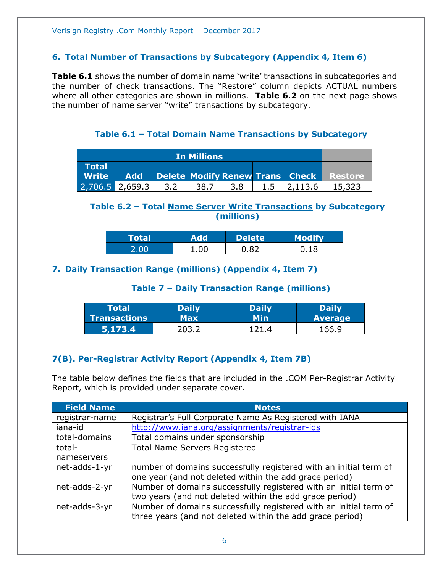#### <span id="page-5-0"></span>**6. Total Number of Transactions by Subcategory (Appendix 4, Item 6)**

**Table 6.1** shows the number of domain name 'write' transactions in subcategories and the number of check transactions. The "Restore" column depicts ACTUAL numbers where all other categories are shown in millions. **Table 6.2** on the next page shows the number of name server "write" transactions by subcategory.

**Table 6.1 – Total Domain Name Transactions by Subcategory**

<span id="page-5-1"></span>

| <b>In Millions</b>                                  |                   |     |      |      |     |         |                                         |
|-----------------------------------------------------|-------------------|-----|------|------|-----|---------|-----------------------------------------|
| <b>Total</b><br>$\blacksquare$ Write $\blacksquare$ | Add               |     |      |      |     |         | Delete Modify Renew Trans Check Restore |
|                                                     | $2,706.5$ 2.659.3 | 3.2 | 38.7 | .3.8 | 1.5 | 2.113.6 |                                         |

#### <span id="page-5-2"></span>**Table 6.2 – Total Name Server Write Transactions by Subcategory (millions)**

| <b>Total</b> | dd  | <b>Delete</b> | <b>Modify</b> |
|--------------|-----|---------------|---------------|
| 00           | .00 | -87           |               |

#### <span id="page-5-4"></span><span id="page-5-3"></span>**7. Daily Transaction Range (millions) (Appendix 4, Item 7)**

#### **Table 7 – Daily Transaction Range (millions)**

| <b>Total</b> | <b>Daily</b> | <b>Daily</b> | <b>Daily</b>   |
|--------------|--------------|--------------|----------------|
| Transactions | Max          | Min          | <b>Average</b> |
| 5,173.4      | ついろ シ        |              | 166.9          |

### <span id="page-5-5"></span>**7(B). Per-Registrar Activity Report (Appendix 4, Item 7B)**

The table below defines the fields that are included in the .COM Per-Registrar Activity Report, which is provided under separate cover.

| <b>Field Name</b> | <b>Notes</b>                                                      |
|-------------------|-------------------------------------------------------------------|
| registrar-name    | Registrar's Full Corporate Name As Registered with IANA           |
| iana-id           | http://www.iana.org/assignments/registrar-ids                     |
| total-domains     | Total domains under sponsorship                                   |
| total-            | <b>Total Name Servers Registered</b>                              |
| nameservers       |                                                                   |
| net-adds-1-yr     | number of domains successfully registered with an initial term of |
|                   | one year (and not deleted within the add grace period)            |
| net-adds-2-yr     | Number of domains successfully registered with an initial term of |
|                   | two years (and not deleted within the add grace period)           |
| net-adds-3-yr     | Number of domains successfully registered with an initial term of |
|                   | three years (and not deleted within the add grace period)         |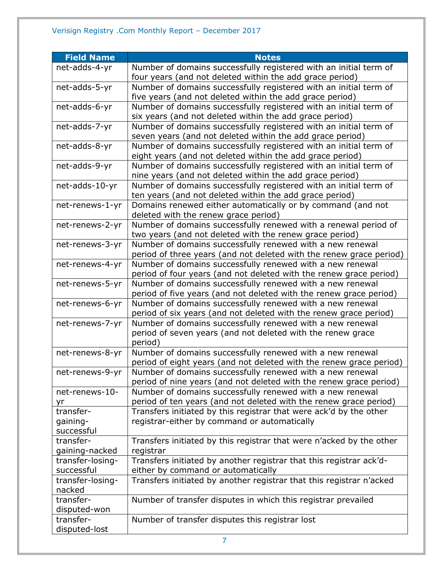| <b>Field Name</b>   | <b>Notes</b>                                                                                                                  |
|---------------------|-------------------------------------------------------------------------------------------------------------------------------|
| net-adds-4-yr       | Number of domains successfully registered with an initial term of                                                             |
|                     | four years (and not deleted within the add grace period)                                                                      |
| net-adds-5-yr       | Number of domains successfully registered with an initial term of                                                             |
|                     | five years (and not deleted within the add grace period)                                                                      |
| net-adds-6-yr       | Number of domains successfully registered with an initial term of                                                             |
|                     | six years (and not deleted within the add grace period)                                                                       |
| net-adds-7-yr       | Number of domains successfully registered with an initial term of                                                             |
|                     | seven years (and not deleted within the add grace period)                                                                     |
| net-adds-8-yr       | Number of domains successfully registered with an initial term of                                                             |
|                     | eight years (and not deleted within the add grace period)                                                                     |
| net-adds-9-yr       | Number of domains successfully registered with an initial term of                                                             |
| net-adds-10-yr      | nine years (and not deleted within the add grace period)<br>Number of domains successfully registered with an initial term of |
|                     | ten years (and not deleted within the add grace period)                                                                       |
| net-renews-1-yr     | Domains renewed either automatically or by command (and not                                                                   |
|                     | deleted with the renew grace period)                                                                                          |
| net-renews-2-yr     | Number of domains successfully renewed with a renewal period of                                                               |
|                     | two years (and not deleted with the renew grace period)                                                                       |
| net-renews-3-yr     | Number of domains successfully renewed with a new renewal                                                                     |
|                     | period of three years (and not deleted with the renew grace period)                                                           |
| net-renews-4-yr     | Number of domains successfully renewed with a new renewal                                                                     |
|                     | period of four years (and not deleted with the renew grace period)                                                            |
| net-renews-5-yr     | Number of domains successfully renewed with a new renewal                                                                     |
|                     | period of five years (and not deleted with the renew grace period)                                                            |
| net-renews-6-yr     | Number of domains successfully renewed with a new renewal                                                                     |
|                     | period of six years (and not deleted with the renew grace period)                                                             |
| net-renews-7-yr     | Number of domains successfully renewed with a new renewal                                                                     |
|                     | period of seven years (and not deleted with the renew grace<br>period)                                                        |
| net-renews-8-yr     | Number of domains successfully renewed with a new renewal                                                                     |
|                     | period of eight years (and not deleted with the renew grace period)                                                           |
| net-renews-9-yr     | Number of domains successfully renewed with a new renewal                                                                     |
|                     | period of nine years (and not deleted with the renew grace period)                                                            |
| net-renews-10-      | Number of domains successfully renewed with a new renewal                                                                     |
| yr                  | period of ten years (and not deleted with the renew grace period)                                                             |
| transfer-           | Transfers initiated by this registrar that were ack'd by the other                                                            |
| gaining-            | registrar-either by command or automatically                                                                                  |
| successful          |                                                                                                                               |
| transfer-           | Transfers initiated by this registrar that were n'acked by the other                                                          |
| gaining-nacked      | registrar                                                                                                                     |
| transfer-losing-    | Transfers initiated by another registrar that this registrar ack'd-                                                           |
| successful          | either by command or automatically                                                                                            |
| transfer-losing-    | Transfers initiated by another registrar that this registrar n'acked                                                          |
| nacked<br>transfer- |                                                                                                                               |
| disputed-won        | Number of transfer disputes in which this registrar prevailed                                                                 |
| transfer-           | Number of transfer disputes this registrar lost                                                                               |
| disputed-lost       |                                                                                                                               |
|                     |                                                                                                                               |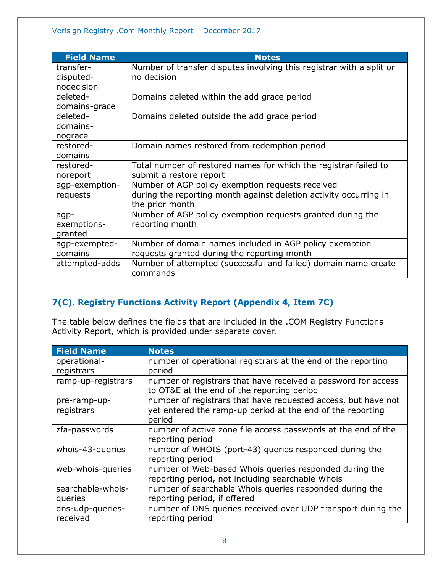| <b>Field Name</b> | <b>Notes</b>                                                         |
|-------------------|----------------------------------------------------------------------|
| transfer-         | Number of transfer disputes involving this registrar with a split or |
| disputed-         | no decision                                                          |
| nodecision        |                                                                      |
| deleted-          | Domains deleted within the add grace period                          |
| domains-grace     |                                                                      |
| deleted-          | Domains deleted outside the add grace period                         |
| domains-          |                                                                      |
| nograce           |                                                                      |
| restored-         | Domain names restored from redemption period                         |
| domains           |                                                                      |
| restored-         | Total number of restored names for which the registrar failed to     |
| noreport          | submit a restore report                                              |
| agp-exemption-    | Number of AGP policy exemption requests received                     |
| requests          | during the reporting month against deletion activity occurring in    |
|                   | the prior month                                                      |
| agp-              | Number of AGP policy exemption requests granted during the           |
| exemptions-       | reporting month                                                      |
| granted           |                                                                      |
| agp-exempted-     | Number of domain names included in AGP policy exemption              |
| domains           | requests granted during the reporting month                          |
| attempted-adds    | Number of attempted (successful and failed) domain name create       |
|                   | commands                                                             |

## <span id="page-7-0"></span>**7(C). Registry Functions Activity Report (Appendix 4, Item 7C)**

The table below defines the fields that are included in the .COM Registry Functions Activity Report, which is provided under separate cover.

| <b>Field Name</b>  | <b>Notes</b>                                                                                                |
|--------------------|-------------------------------------------------------------------------------------------------------------|
| operational-       | number of operational registrars at the end of the reporting                                                |
| registrars         | period                                                                                                      |
| ramp-up-registrars | number of registrars that have received a password for access<br>to OT&E at the end of the reporting period |
| pre-ramp-up-       | number of registrars that have requested access, but have not                                               |
| registrars         | yet entered the ramp-up period at the end of the reporting<br>period                                        |
|                    |                                                                                                             |
| zfa-passwords      | number of active zone file access passwords at the end of the                                               |
|                    | reporting period                                                                                            |
| whois-43-queries   | number of WHOIS (port-43) queries responded during the                                                      |
|                    | reporting period                                                                                            |
| web-whois-queries  | number of Web-based Whois queries responded during the                                                      |
|                    | reporting period, not including searchable Whois                                                            |
| searchable-whois-  | number of searchable Whois queries responded during the                                                     |
| queries            | reporting period, if offered                                                                                |
| dns-udp-queries-   | number of DNS queries received over UDP transport during the                                                |
| received           | reporting period                                                                                            |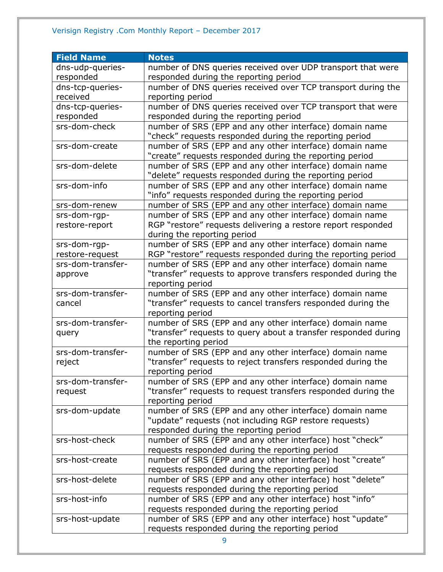# Verisign Registry .Com Monthly Report – December 2017

| <b>Field Name</b> | <b>Notes</b>                                                                |
|-------------------|-----------------------------------------------------------------------------|
| dns-udp-queries-  | number of DNS queries received over UDP transport that were                 |
| responded         | responded during the reporting period                                       |
| dns-tcp-queries-  | number of DNS queries received over TCP transport during the                |
| received          | reporting period                                                            |
| dns-tcp-queries-  | number of DNS queries received over TCP transport that were                 |
| responded         | responded during the reporting period                                       |
| srs-dom-check     | number of SRS (EPP and any other interface) domain name                     |
|                   | "check" requests responded during the reporting period                      |
| srs-dom-create    | number of SRS (EPP and any other interface) domain name                     |
|                   | "create" requests responded during the reporting period                     |
| srs-dom-delete    | number of SRS (EPP and any other interface) domain name                     |
|                   | "delete" requests responded during the reporting period                     |
| srs-dom-info      | number of SRS (EPP and any other interface) domain name                     |
|                   | "info" requests responded during the reporting period                       |
| srs-dom-renew     | number of SRS (EPP and any other interface) domain name                     |
| srs-dom-rgp-      | number of SRS (EPP and any other interface) domain name                     |
| restore-report    | RGP "restore" requests delivering a restore report responded                |
|                   | during the reporting period                                                 |
| srs-dom-rgp-      | number of SRS (EPP and any other interface) domain name                     |
| restore-request   | RGP "restore" requests responded during the reporting period                |
| srs-dom-transfer- | number of SRS (EPP and any other interface) domain name                     |
| approve           | "transfer" requests to approve transfers responded during the               |
|                   | reporting period                                                            |
| srs-dom-transfer- | number of SRS (EPP and any other interface) domain name                     |
| cancel            | "transfer" requests to cancel transfers responded during the                |
|                   | reporting period                                                            |
| srs-dom-transfer- | number of SRS (EPP and any other interface) domain name                     |
| query             | "transfer" requests to query about a transfer responded during              |
|                   | the reporting period                                                        |
| srs-dom-transfer- | number of SRS (EPP and any other interface) domain name                     |
| reject            | "transfer" requests to reject transfers responded during the                |
|                   | reporting period                                                            |
| srs-dom-transfer- | number of SRS (EPP and any other interface) domain name                     |
| request           | "transfer" requests to request transfers responded during the               |
|                   | reporting period<br>number of SRS (EPP and any other interface) domain name |
| srs-dom-update    | "update" requests (not including RGP restore requests)                      |
|                   | responded during the reporting period                                       |
| srs-host-check    | number of SRS (EPP and any other interface) host "check"                    |
|                   | requests responded during the reporting period                              |
| srs-host-create   | number of SRS (EPP and any other interface) host "create"                   |
|                   | requests responded during the reporting period                              |
| srs-host-delete   | number of SRS (EPP and any other interface) host "delete"                   |
|                   | requests responded during the reporting period                              |
| srs-host-info     | number of SRS (EPP and any other interface) host "info"                     |
|                   | requests responded during the reporting period                              |
| srs-host-update   | number of SRS (EPP and any other interface) host "update"                   |
|                   | requests responded during the reporting period                              |
|                   |                                                                             |